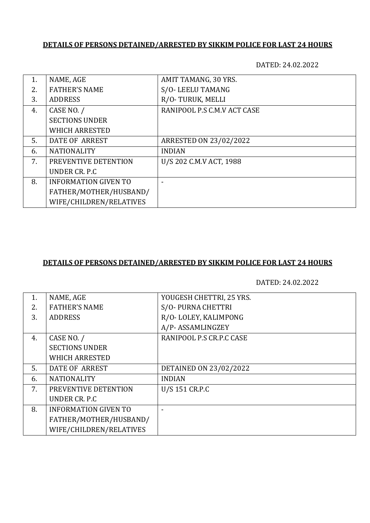## **DETAILS OF PERSONS DETAINED/ARRESTED BY SIKKIM POLICE FOR LAST 24 HOURS**

DATED: 24.02.2022

| 1. | NAME, AGE                   | AMIT TAMANG, 30 YRS.          |
|----|-----------------------------|-------------------------------|
| 2. | <b>FATHER'S NAME</b>        | S/O-LEELU TAMANG              |
| 3. | <b>ADDRESS</b>              | R/O-TURUK, MELLI              |
| 4. | CASE NO. /                  | RANIPOOL P.S C.M.V ACT CASE   |
|    | <b>SECTIONS UNDER</b>       |                               |
|    | <b>WHICH ARRESTED</b>       |                               |
| 5. | <b>DATE OF ARREST</b>       | <b>ARRESTED ON 23/02/2022</b> |
| 6. | <b>NATIONALITY</b>          | <b>INDIAN</b>                 |
| 7. | PREVENTIVE DETENTION        | U/S 202 C.M.V ACT, 1988       |
|    | UNDER CR. P.C.              |                               |
| 8. | <b>INFORMATION GIVEN TO</b> |                               |
|    | FATHER/MOTHER/HUSBAND/      |                               |
|    | WIFE/CHILDREN/RELATIVES     |                               |
|    |                             |                               |

#### **DETAILS OF PERSONS DETAINED/ARRESTED BY SIKKIM POLICE FOR LAST 24 HOURS**

DATED: 24.02.2022

| 1. | NAME, AGE                   | YOUGESH CHETTRI, 25 YRS. |
|----|-----------------------------|--------------------------|
| 2. | <b>FATHER'S NAME</b>        | S/O-PURNA CHETTRI        |
| 3. | <b>ADDRESS</b>              | R/O-LOLEY, KALIMPONG     |
|    |                             | A/P-ASSAMLINGZEY         |
| 4. | CASE NO. /                  | RANIPOOL P.S CR.P.C CASE |
|    | <b>SECTIONS UNDER</b>       |                          |
|    | <b>WHICH ARRESTED</b>       |                          |
| 5. | <b>DATE OF ARREST</b>       | DETAINED ON 23/02/2022   |
| 6. | <b>NATIONALITY</b>          | <b>INDIAN</b>            |
| 7. | PREVENTIVE DETENTION        | U/S 151 CR.P.C           |
|    | UNDER CR. P.C.              |                          |
| 8. | <b>INFORMATION GIVEN TO</b> |                          |
|    | FATHER/MOTHER/HUSBAND/      |                          |
|    | WIFE/CHILDREN/RELATIVES     |                          |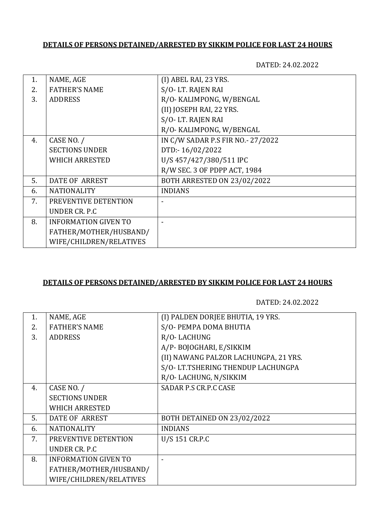## **DETAILS OF PERSONS DETAINED/ARRESTED BY SIKKIM POLICE FOR LAST 24 HOURS**

DATED: 24.02.2022

| 1. | NAME, AGE                   | (I) ABEL RAI, 23 YRS.              |
|----|-----------------------------|------------------------------------|
| 2. | <b>FATHER'S NAME</b>        | S/O-LT. RAJEN RAI                  |
| 3. | <b>ADDRESS</b>              | R/O- KALIMPONG, W/BENGAL           |
|    |                             | (II) JOSEPH RAI, 22 YRS.           |
|    |                             | S/O-LT. RAJEN RAI                  |
|    |                             | R/O- KALIMPONG, W/BENGAL           |
| 4. | CASE NO. /                  | IN C/W SADAR P.S FIR NO.- 27/2022  |
|    | <b>SECTIONS UNDER</b>       | DTD:-16/02/2022                    |
|    | <b>WHICH ARRESTED</b>       | U/S 457/427/380/511 IPC            |
|    |                             | R/W SEC. 3 OF PDPP ACT, 1984       |
| 5. | <b>DATE OF ARREST</b>       | <b>BOTH ARRESTED ON 23/02/2022</b> |
| 6. | <b>NATIONALITY</b>          | <b>INDIANS</b>                     |
| 7. | PREVENTIVE DETENTION        |                                    |
|    | UNDER CR. P.C               |                                    |
| 8. | <b>INFORMATION GIVEN TO</b> |                                    |
|    | FATHER/MOTHER/HUSBAND/      |                                    |
|    | WIFE/CHILDREN/RELATIVES     |                                    |
|    |                             |                                    |

#### **DETAILS OF PERSONS DETAINED/ARRESTED BY SIKKIM POLICE FOR LAST 24 HOURS**

DATED: 24.02.2022

| 1. | NAME, AGE                   | (I) PALDEN DORJEE BHUTIA, 19 YRS.     |
|----|-----------------------------|---------------------------------------|
| 2. | <b>FATHER'S NAME</b>        | S/O-PEMPA DOMA BHUTIA                 |
| 3. | <b>ADDRESS</b>              | R/O-LACHUNG                           |
|    |                             | A/P-BOJOGHARI, E/SIKKIM               |
|    |                             | (II) NAWANG PALZOR LACHUNGPA, 21 YRS. |
|    |                             | S/O- LT.TSHERING THENDUP LACHUNGPA    |
|    |                             | R/O-LACHUNG, N/SIKKIM                 |
| 4. | CASE NO. /                  | SADAR P.S CR.P.C CASE                 |
|    | <b>SECTIONS UNDER</b>       |                                       |
|    | <b>WHICH ARRESTED</b>       |                                       |
| 5. | <b>DATE OF ARREST</b>       | BOTH DETAINED ON 23/02/2022           |
| 6. | <b>NATIONALITY</b>          | <b>INDIANS</b>                        |
| 7. | PREVENTIVE DETENTION        | U/S 151 CR.P.C                        |
|    | UNDER CR. P.C.              |                                       |
| 8. | <b>INFORMATION GIVEN TO</b> |                                       |
|    | FATHER/MOTHER/HUSBAND/      |                                       |
|    | WIFE/CHILDREN/RELATIVES     |                                       |